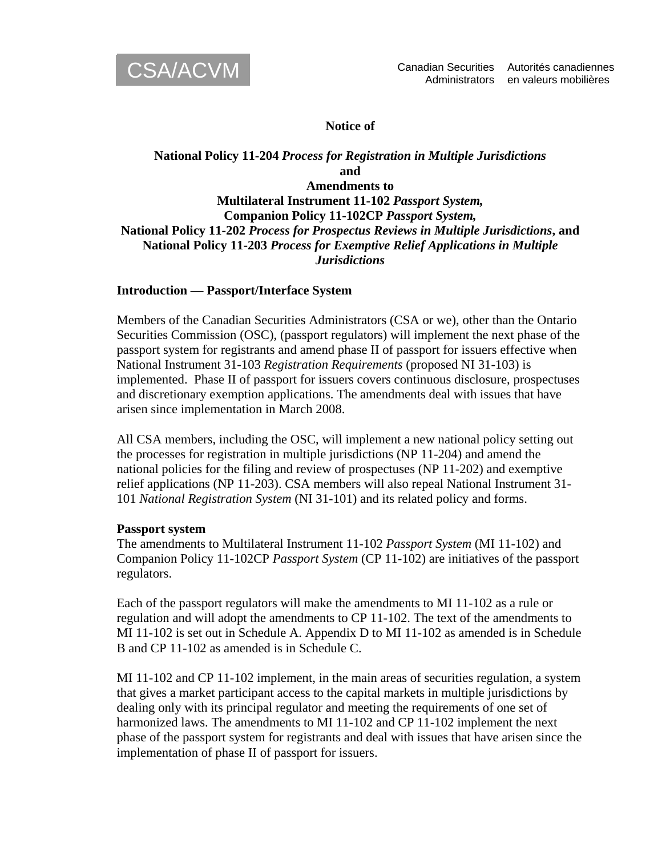

# **Notice of**

# **National Policy 11-204** *Process for Registration in Multiple Jurisdictions*  **and Amendments to Multilateral Instrument 11-102** *Passport System,*  **Companion Policy 11-102CP** *Passport System,*  **National Policy 11-202** *Process for Prospectus Reviews in Multiple Jurisdictions***, and National Policy 11-203** *Process for Exemptive Relief Applications in Multiple Jurisdictions*

## **Introduction — Passport/Interface System**

Members of the Canadian Securities Administrators (CSA or we), other than the Ontario Securities Commission (OSC), (passport regulators) will implement the next phase of the passport system for registrants and amend phase II of passport for issuers effective when National Instrument 31-103 *Registration Requirements* (proposed NI 31-103) is implemented. Phase II of passport for issuers covers continuous disclosure, prospectuses and discretionary exemption applications. The amendments deal with issues that have arisen since implementation in March 2008.

All CSA members, including the OSC, will implement a new national policy setting out the processes for registration in multiple jurisdictions (NP 11-204) and amend the national policies for the filing and review of prospectuses (NP 11-202) and exemptive relief applications (NP 11-203). CSA members will also repeal National Instrument 31- 101 *National Registration System* (NI 31-101) and its related policy and forms.

### **Passport system**

The amendments to Multilateral Instrument 11-102 *Passport System* (MI 11-102) and Companion Policy 11-102CP *Passport System* (CP 11-102) are initiatives of the passport regulators.

Each of the passport regulators will make the amendments to MI 11-102 as a rule or regulation and will adopt the amendments to CP 11-102. The text of the amendments to MI 11-102 is set out in Schedule A. Appendix D to MI 11-102 as amended is in Schedule B and CP 11-102 as amended is in Schedule C.

MI 11-102 and CP 11-102 implement, in the main areas of securities regulation, a system that gives a market participant access to the capital markets in multiple jurisdictions by dealing only with its principal regulator and meeting the requirements of one set of harmonized laws. The amendments to MI 11-102 and CP 11-102 implement the next phase of the passport system for registrants and deal with issues that have arisen since the implementation of phase II of passport for issuers.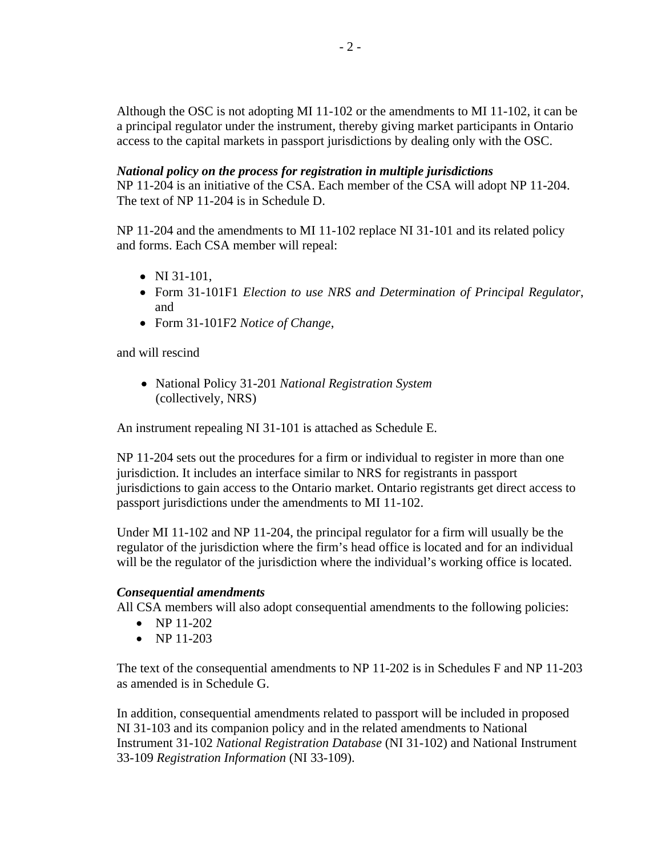Although the OSC is not adopting MI 11-102 or the amendments to MI 11-102, it can be a principal regulator under the instrument, thereby giving market participants in Ontario access to the capital markets in passport jurisdictions by dealing only with the OSC.

# *National policy on the process for registration in multiple jurisdictions*

NP 11-204 is an initiative of the CSA. Each member of the CSA will adopt NP 11-204. The text of NP 11-204 is in Schedule D.

NP 11-204 and the amendments to MI 11-102 replace NI 31-101 and its related policy and forms. Each CSA member will repeal:

- NI 31-101.
- Form 31-101F1 *Election to use NRS and Determination of Principal Regulator*, and
- Form 31-101F2 *Notice of Change*,

and will rescind

• National Policy 31-201 *National Registration System* (collectively, NRS)

An instrument repealing NI 31-101 is attached as Schedule E.

NP 11-204 sets out the procedures for a firm or individual to register in more than one jurisdiction. It includes an interface similar to NRS for registrants in passport jurisdictions to gain access to the Ontario market. Ontario registrants get direct access to passport jurisdictions under the amendments to MI 11-102.

Under MI 11-102 and NP 11-204, the principal regulator for a firm will usually be the regulator of the jurisdiction where the firm's head office is located and for an individual will be the regulator of the jurisdiction where the individual's working office is located.

# *Consequential amendments*

All CSA members will also adopt consequential amendments to the following policies:

- NP 11-202
- $NP 11-203$

The text of the consequential amendments to NP 11-202 is in Schedules F and NP 11-203 as amended is in Schedule G.

In addition, consequential amendments related to passport will be included in proposed NI 31-103 and its companion policy and in the related amendments to National Instrument 31-102 *National Registration Database* (NI 31-102) and National Instrument 33-109 *Registration Information* (NI 33-109).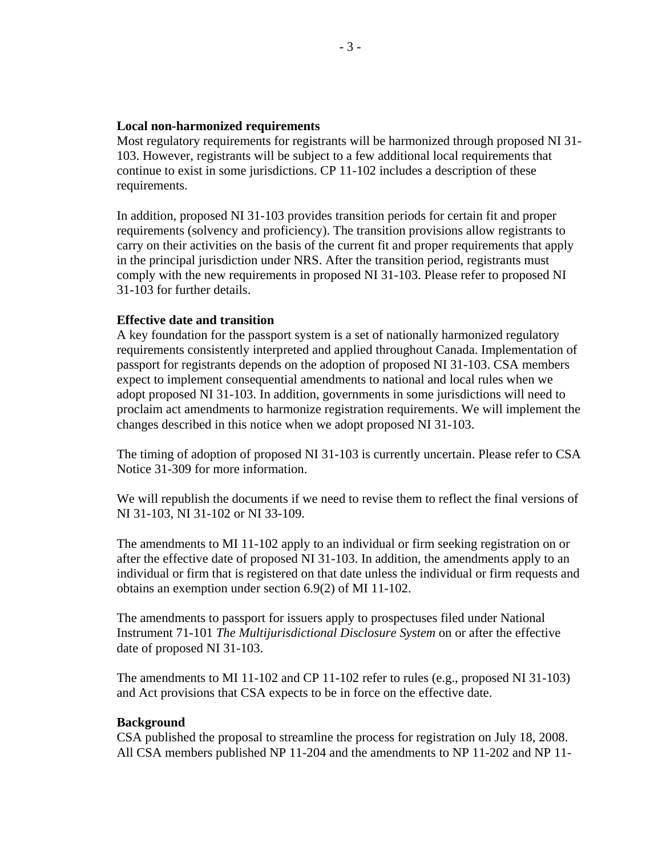### **Local non-harmonized requirements**

Most regulatory requirements for registrants will be harmonized through proposed NI 31- 103. However, registrants will be subject to a few additional local requirements that continue to exist in some jurisdictions. CP 11-102 includes a description of these requirements.

In addition, proposed NI 31-103 provides transition periods for certain fit and proper requirements (solvency and proficiency). The transition provisions allow registrants to carry on their activities on the basis of the current fit and proper requirements that apply in the principal jurisdiction under NRS. After the transition period, registrants must comply with the new requirements in proposed NI 31-103. Please refer to proposed NI 31-103 for further details.

### **Effective date and transition**

A key foundation for the passport system is a set of nationally harmonized regulatory requirements consistently interpreted and applied throughout Canada. Implementation of passport for registrants depends on the adoption of proposed NI 31-103. CSA members expect to implement consequential amendments to national and local rules when we adopt proposed NI 31-103. In addition, governments in some jurisdictions will need to proclaim act amendments to harmonize registration requirements. We will implement the changes described in this notice when we adopt proposed NI 31-103.

The timing of adoption of proposed NI 31-103 is currently uncertain. Please refer to CSA Notice 31-309 for more information.

We will republish the documents if we need to revise them to reflect the final versions of NI 31-103, NI 31-102 or NI 33-109.

The amendments to MI 11-102 apply to an individual or firm seeking registration on or after the effective date of proposed NI 31-103. In addition, the amendments apply to an individual or firm that is registered on that date unless the individual or firm requests and obtains an exemption under section 6.9(2) of MI 11-102.

The amendments to passport for issuers apply to prospectuses filed under National Instrument 71-101 *The Multijurisdictional Disclosure System* on or after the effective date of proposed NI 31-103.

The amendments to MI 11-102 and CP 11-102 refer to rules (e.g., proposed NI 31-103) and Act provisions that CSA expects to be in force on the effective date.

#### **Background**

CSA published the proposal to streamline the process for registration on July 18, 2008. All CSA members published NP 11-204 and the amendments to NP 11-202 and NP 11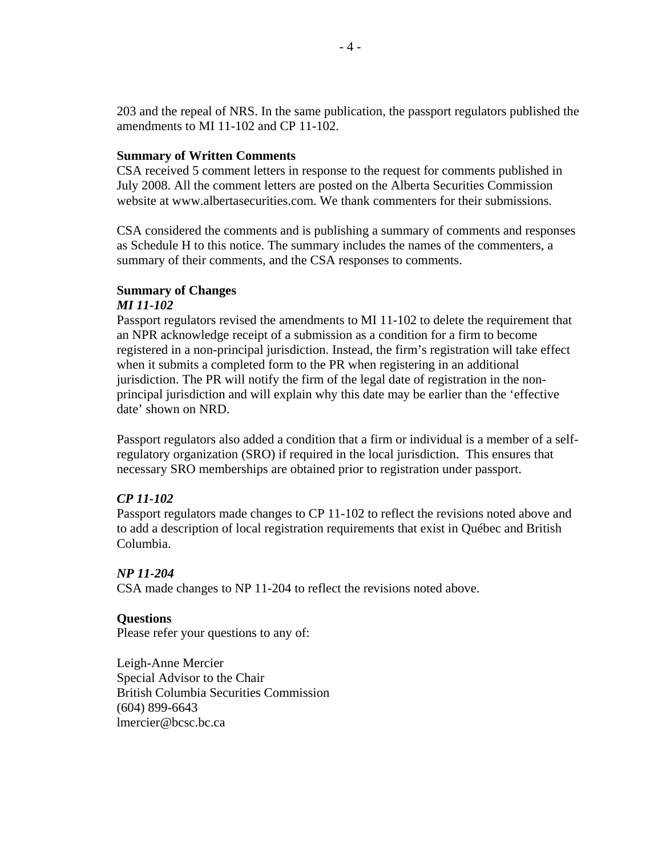203 and the repeal of NRS. In the same publication, the passport regulators published the amendments to MI 11-102 and CP 11-102.

## **Summary of Written Comments**

CSA received 5 comment letters in response to the request for comments published in July 2008. All the comment letters are posted on the Alberta Securities Commission website at [www.albertasecurities.com.](http://www.albertasecurities.com/) We thank commenters for their submissions.

CSA considered the comments and is publishing a summary of comments and responses as Schedule H to this notice. The summary includes the names of the commenters, a summary of their comments, and the CSA responses to comments.

### **Summary of Changes**

## *MI 11-102*

Passport regulators revised the amendments to MI 11-102 to delete the requirement that an NPR acknowledge receipt of a submission as a condition for a firm to become registered in a non-principal jurisdiction. Instead, the firm's registration will take effect when it submits a completed form to the PR when registering in an additional jurisdiction. The PR will notify the firm of the legal date of registration in the nonprincipal jurisdiction and will explain why this date may be earlier than the 'effective date' shown on NRD.

Passport regulators also added a condition that a firm or individual is a member of a selfregulatory organization (SRO) if required in the local jurisdiction. This ensures that necessary SRO memberships are obtained prior to registration under passport.

# *CP 11-102*

Passport regulators made changes to CP 11-102 to reflect the revisions noted above and to add a description of local registration requirements that exist in Québec and British Columbia.

# *NP 11-204*

CSA made changes to NP 11-204 to reflect the revisions noted above.

### **Questions**

Please refer your questions to any of:

Leigh-Anne Mercier Special Advisor to the Chair British Columbia Securities Commission (604) 899-6643 [lmercier@bcsc.bc.ca](mailto:lmercier@bcsc.bc.ca)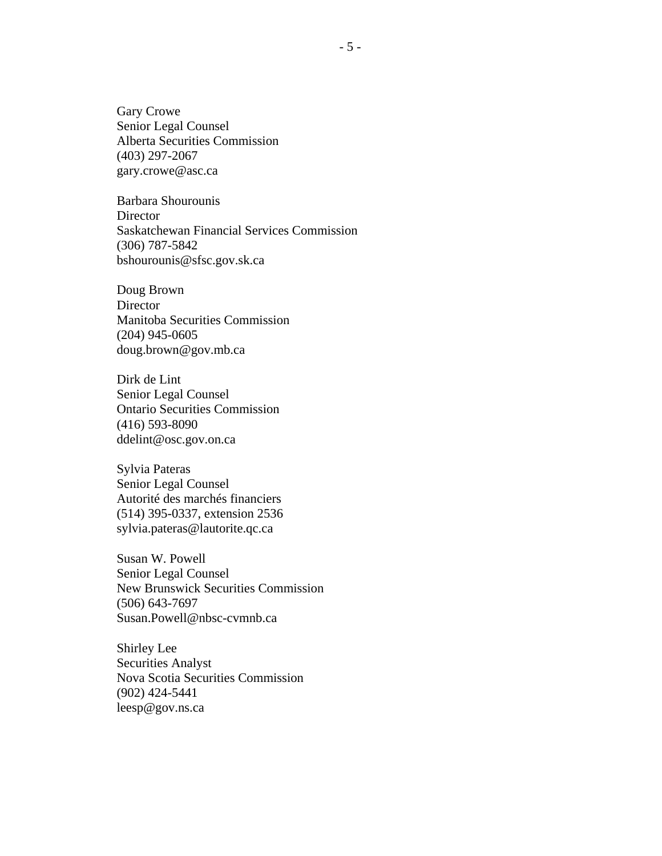Gary Crowe Senior Legal Counsel Alberta Securities Commission (403) 297-2067 [gary.crowe@asc.ca](mailto:gary.crowe@asc.ca) 

Barbara Shourounis **Director** Saskatchewan Financial Services Commission (306) 787-5842 [bshourounis@sfsc.gov.sk.ca](mailto:bshourounis@sfsc.gov.sk.ca) 

Doug Brown **Director** Manitoba Securities Commission (204) 945-0605 [doug.brown@gov.mb.ca](mailto:doug.brown@gov.mb.ca) 

Dirk de Lint Senior Legal Counsel Ontario Securities Commission (416) 593-8090 ddelint@osc.gov.on.ca

Sylvia Pateras Senior Legal Counsel Autorité des marchés financiers (514) 395-0337, extension 2536 [sylvia.pateras@lautorite.qc.ca](mailto:sylvia.pateras@lautorite.qc.ca) 

Susan W. Powell Senior Legal Counsel New Brunswick Securities Commission (506) 643-7697 [Susan.Powell@nbsc-cvmnb.ca](mailto:Susan.Powell@nbsc-cvmnb.ca)

Shirley Lee Securities Analyst Nova Scotia Securities Commission (902) 424-5441 leesp@gov.ns.ca